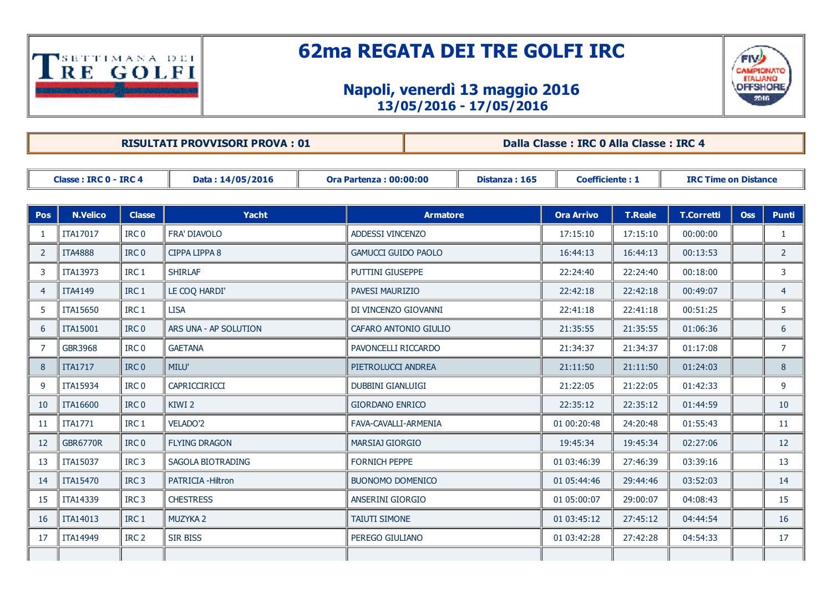

## 62ma REGATA DEI TRE GOLFI IRC

## Napoli, venerdì 13 maggio 2016 13/05/2016 17/05/2016



RISULTATI PROVVISORI PROVA : 01 **Dalla Classe : IRC 0 Alla Classe : IRC 4** 

| Classe: IRC 0 - IRC 4 |                 |                  | Data: 14/05/2016          |  | <b>Ora Partenza: 00:00:00</b> | Distanza: 165 | <b>Coefficiente: 1</b> |                | <b>IRC Time on Distance</b> |            |                |
|-----------------------|-----------------|------------------|---------------------------|--|-------------------------------|---------------|------------------------|----------------|-----------------------------|------------|----------------|
|                       |                 |                  |                           |  |                               |               |                        |                |                             |            |                |
| <b>Pos</b>            | <b>N.Velico</b> | <b>Classe</b>    | <b>Yacht</b>              |  | <b>Armatore</b>               |               | <b>Ora Arrivo</b>      | <b>T.Reale</b> | <b>T.Corretti</b>           | <b>Oss</b> | <b>Punti</b>   |
| 1                     | ITA17017        | IRC <sub>0</sub> | <b>FRA' DIAVOLO</b>       |  | ADDESSI VINCENZO              |               | 17:15:10               | 17:15:10       | 00:00:00                    |            | $\mathbf{1}$   |
| 2                     | <b>ITA4888</b>  | IRC <sub>0</sub> | <b>CIPPA LIPPA 8</b>      |  | <b>GAMUCCI GUIDO PAOLO</b>    |               | 16:44:13               | 16:44:13       | 00:13:53                    |            | $\overline{2}$ |
| 3                     | ITA13973        | IRC <sub>1</sub> | <b>SHIRLAF</b>            |  | <b>PUTTINI GIUSEPPE</b>       |               | 22:24:40               | 22:24:40       | 00:18:00                    |            | 3              |
| $\overline{4}$        | <b>ITA4149</b>  | IRC <sub>1</sub> | LE COQ HARDI'             |  | <b>PAVESI MAURIZIO</b>        |               | 22:42:18               | 22:42:18       | 00:49:07                    |            | $\overline{4}$ |
| -5                    | ITA15650        | IRC <sub>1</sub> | <b>LISA</b>               |  | DI VINCENZO GIOVANNI          |               | 22:41:18               | 22:41:18       | 00:51:25                    |            | 5              |
| 6                     | ITA15001        | IRC <sub>0</sub> | ARS UNA - AP SOLUTION     |  | CAFARO ANTONIO GIULIO         |               | 21:35:55               | 21:35:55       | 01:06:36                    |            | 6              |
| 7                     | GBR3968         | IRC <sub>0</sub> | <b>GAETANA</b>            |  | PAVONCELLI RICCARDO           |               | 21:34:37               | 21:34:37       | 01:17:08                    |            | $\overline{7}$ |
| 8                     | <b>ITA1717</b>  | IRC <sub>0</sub> | <b>MILU'</b>              |  | PIETROLUCCI ANDREA            |               | 21:11:50               | 21:11:50       | 01:24:03                    |            | 8              |
| 9                     | ITA15934        | IRC <sub>0</sub> | CAPRICCIRICCI             |  | <b>DUBBINI GIANLUIGI</b>      |               | 21:22:05               | 21:22:05       | 01:42:33                    |            | 9              |
| 10                    | <b>ITA16600</b> | IRC <sub>0</sub> | KIWI <sub>2</sub>         |  | <b>GIORDANO ENRICO</b>        |               | 22:35:12               | 22:35:12       | 01:44:59                    |            | 10             |
| 11                    | <b>ITA1771</b>  | IRC <sub>1</sub> | <b>VELADO'2</b>           |  | FAVA-CAVALLI-ARMENIA          |               | 01 00:20:48            | 24:20:48       | 01:55:43                    |            | 11             |
| -12                   | <b>GBR6770R</b> | IRC <sub>0</sub> | <b>FLYING DRAGON</b>      |  | <b>MARSIAJ GIORGIO</b>        |               | 19:45:34               | 19:45:34       | 02:27:06                    |            | 12             |
| -13                   | ITA15037        | IRC <sub>3</sub> | SAGOLA BIOTRADING         |  | <b>FORNICH PEPPE</b>          |               | 01 03:46:39            | 27:46:39       | 03:39:16                    |            | 13             |
| 14                    | ITA15470        | IRC <sub>3</sub> | <b>PATRICIA - Hiltron</b> |  | <b>BUONOMO DOMENICO</b>       |               | 01 05:44:46            | 29:44:46       | 03:52:03                    |            | 14             |
| 15                    | ITA14339        | IRC <sub>3</sub> | <b>CHESTRESS</b>          |  | <b>ANSERINI GIORGIO</b>       |               | 01 05:00:07            | 29:00:07       | 04:08:43                    |            | 15             |
| 16                    | ITA14013        | IRC <sub>1</sub> | MUZYKA 2                  |  | <b>TAIUTI SIMONE</b>          |               | 01 03:45:12            | 27:45:12       | 04:44:54                    |            | 16             |
| 17                    | <b>ITA14949</b> | IRC <sub>2</sub> | <b>SIR BISS</b>           |  | PEREGO GIULIANO               |               | 01 03:42:28            | 27:42:28       | 04:54:33                    |            | 17             |
|                       |                 |                  |                           |  |                               |               |                        |                |                             |            |                |